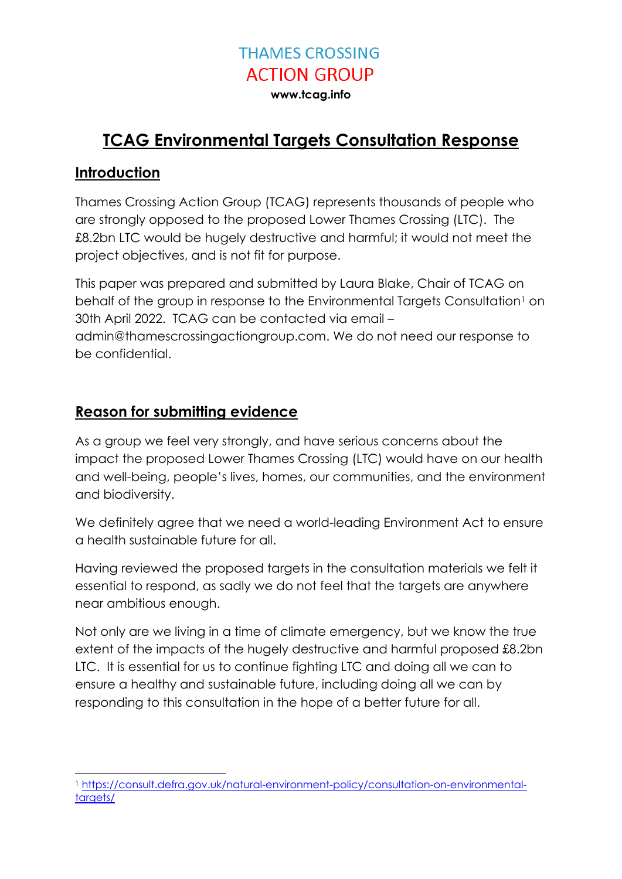**www.tcag.info**

### **TCAG Environmental Targets Consultation Response**

#### **Introduction**

Thames Crossing Action Group (TCAG) represents thousands of people who are strongly opposed to the proposed Lower Thames Crossing (LTC). The £8.2bn LTC would be hugely destructive and harmful; it would not meet the project objectives, and is not fit for purpose.

This paper was prepared and submitted by Laura Blake, Chair of TCAG on behalf of the group in response to the Environmental Targets Consultation<sup>1</sup> on 30th April 2022. TCAG can be contacted via email – admin@thamescrossingactiongroup.com. We do not need our response to be confidential.

### **Reason for submitting evidence**

As a group we feel very strongly, and have serious concerns about the impact the proposed Lower Thames Crossing (LTC) would have on our health and well-being, people's lives, homes, our communities, and the environment and biodiversity.

We definitely agree that we need a world-leading Environment Act to ensure a health sustainable future for all.

Having reviewed the proposed targets in the consultation materials we felt it essential to respond, as sadly we do not feel that the targets are anywhere near ambitious enough.

Not only are we living in a time of climate emergency, but we know the true extent of the impacts of the hugely destructive and harmful proposed £8.2bn LTC. It is essential for us to continue fighting LTC and doing all we can to ensure a healthy and sustainable future, including doing all we can by responding to this consultation in the hope of a better future for all.

<sup>-</sup><sup>1</sup> [https://consult.defra.gov.uk/natural-environment-policy/consultation-on-environmental](https://consult.defra.gov.uk/natural-environment-policy/consultation-on-environmental-targets/)[targets/](https://consult.defra.gov.uk/natural-environment-policy/consultation-on-environmental-targets/)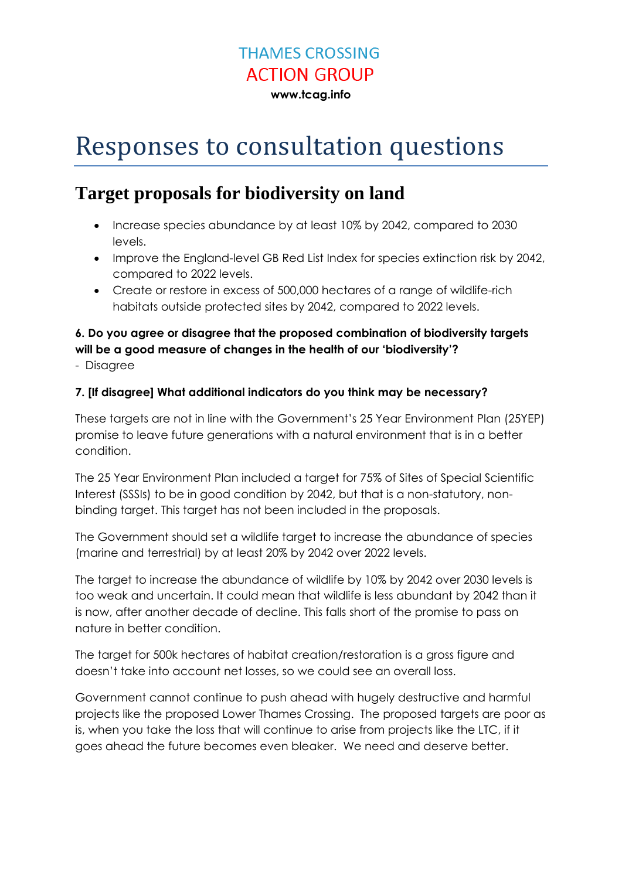**www.tcag.info**

# Responses to consultation questions

### **Target proposals for biodiversity on land**

- Increase species abundance by at least 10% by 2042, compared to 2030 levels.
- Improve the England-level GB Red List Index for species extinction risk by 2042, compared to 2022 levels.
- Create or restore in excess of 500,000 hectares of a range of wildlife-rich habitats outside protected sites by 2042, compared to 2022 levels.

### **6. Do you agree or disagree that the proposed combination of biodiversity targets will be a good measure of changes in the health of our 'biodiversity'?**

- Disagree

#### **7. [If disagree] What additional indicators do you think may be necessary?**

These targets are not in line with the Government's 25 Year Environment Plan (25YEP) promise to leave future generations with a natural environment that is in a better condition.

The 25 Year Environment Plan included a target for 75% of Sites of Special Scientific Interest (SSSIs) to be in good condition by 2042, but that is a non-statutory, nonbinding target. This target has not been included in the proposals.

The Government should set a wildlife target to increase the abundance of species (marine and terrestrial) by at least 20% by 2042 over 2022 levels.

The target to increase the abundance of wildlife by 10% by 2042 over 2030 levels is too weak and uncertain. It could mean that wildlife is less abundant by 2042 than it is now, after another decade of decline. This falls short of the promise to pass on nature in better condition.

The target for 500k hectares of habitat creation/restoration is a gross figure and doesn't take into account net losses, so we could see an overall loss.

Government cannot continue to push ahead with hugely destructive and harmful projects like the proposed Lower Thames Crossing. The proposed targets are poor as is, when you take the loss that will continue to arise from projects like the LTC, if it goes ahead the future becomes even bleaker. We need and deserve better.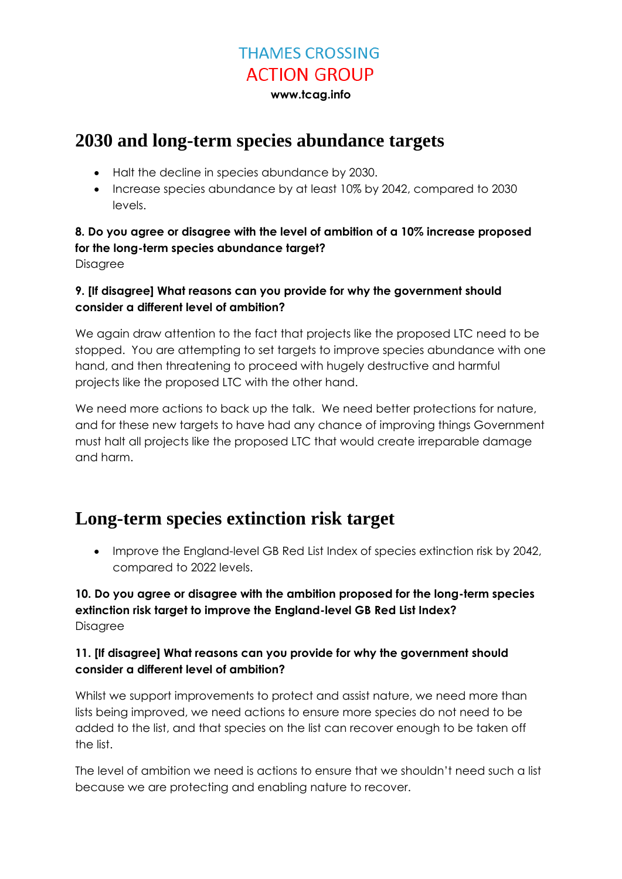**www.tcag.info**

### **2030 and long-term species abundance targets**

- Halt the decline in species abundance by 2030.
- Increase species abundance by at least 10% by 2042, compared to 2030 levels.

#### **8. Do you agree or disagree with the level of ambition of a 10% increase proposed for the long-term species abundance target?**

**Disagree** 

#### **9. [If disagree] What reasons can you provide for why the government should consider a different level of ambition?**

We again draw attention to the fact that projects like the proposed LTC need to be stopped. You are attempting to set targets to improve species abundance with one hand, and then threatening to proceed with hugely destructive and harmful projects like the proposed LTC with the other hand.

We need more actions to back up the talk. We need better protections for nature, and for these new targets to have had any chance of improving things Government must halt all projects like the proposed LTC that would create irreparable damage and harm.

### **Long-term species extinction risk target**

• Improve the England-level GB Red List Index of species extinction risk by 2042, compared to 2022 levels.

#### **10. Do you agree or disagree with the ambition proposed for the long-term species extinction risk target to improve the England-level GB Red List Index? Disagree**

#### **11. [If disagree] What reasons can you provide for why the government should consider a different level of ambition?**

Whilst we support improvements to protect and assist nature, we need more than lists being improved, we need actions to ensure more species do not need to be added to the list, and that species on the list can recover enough to be taken off the list.

The level of ambition we need is actions to ensure that we shouldn't need such a list because we are protecting and enabling nature to recover.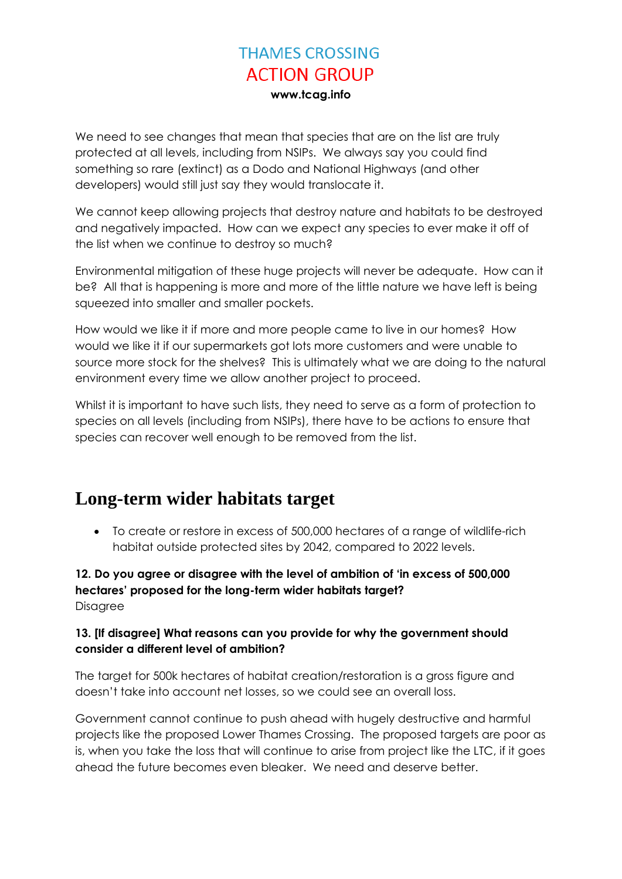We need to see changes that mean that species that are on the list are truly protected at all levels, including from NSIPs. We always say you could find something so rare (extinct) as a Dodo and National Highways (and other developers) would still just say they would translocate it.

We cannot keep allowing projects that destroy nature and habitats to be destroyed and negatively impacted. How can we expect any species to ever make it off of the list when we continue to destroy so much?

Environmental mitigation of these huge projects will never be adequate. How can it be? All that is happening is more and more of the little nature we have left is being squeezed into smaller and smaller pockets.

How would we like it if more and more people came to live in our homes? How would we like it if our supermarkets got lots more customers and were unable to source more stock for the shelves? This is ultimately what we are doing to the natural environment every time we allow another project to proceed.

Whilst it is important to have such lists, they need to serve as a form of protection to species on all levels (including from NSIPs), there have to be actions to ensure that species can recover well enough to be removed from the list.

### **Long-term wider habitats target**

 To create or restore in excess of 500,000 hectares of a range of wildlife-rich habitat outside protected sites by 2042, compared to 2022 levels.

**12. Do you agree or disagree with the level of ambition of 'in excess of 500,000 hectares' proposed for the long-term wider habitats target?** Disagree

#### **13. [If disagree] What reasons can you provide for why the government should consider a different level of ambition?**

The target for 500k hectares of habitat creation/restoration is a gross figure and doesn't take into account net losses, so we could see an overall loss.

Government cannot continue to push ahead with hugely destructive and harmful projects like the proposed Lower Thames Crossing. The proposed targets are poor as is, when you take the loss that will continue to arise from project like the LTC, if it goes ahead the future becomes even bleaker. We need and deserve better.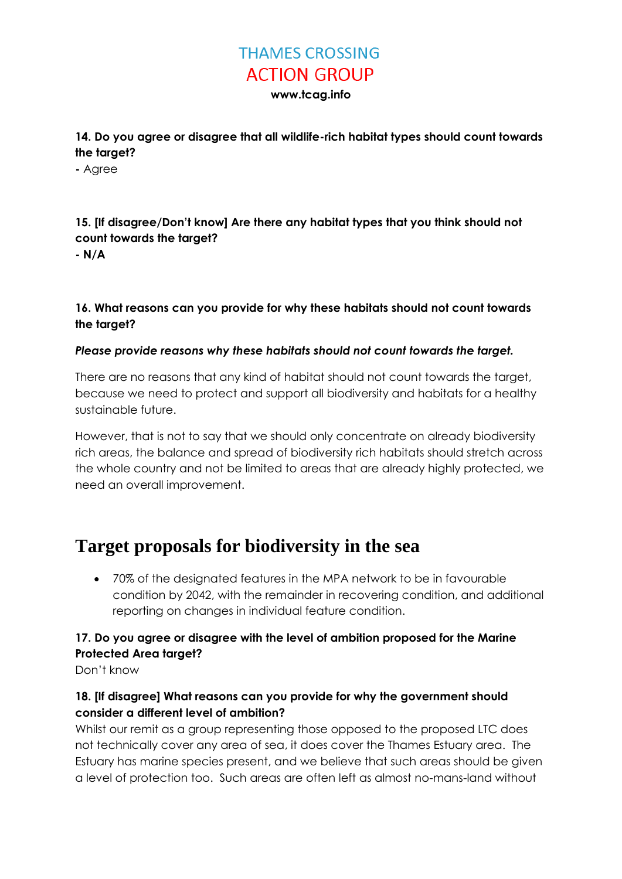**www.tcag.info**

**14. Do you agree or disagree that all wildlife-rich habitat types should count towards the target?**

**-** Agree

### **15. [If disagree/Don't know] Are there any habitat types that you think should not count towards the target?**

**- N/A**

#### **16. What reasons can you provide for why these habitats should not count towards the target?**

#### *Please provide reasons why these habitats should not count towards the target.*

There are no reasons that any kind of habitat should not count towards the target, because we need to protect and support all biodiversity and habitats for a healthy sustainable future.

However, that is not to say that we should only concentrate on already biodiversity rich areas, the balance and spread of biodiversity rich habitats should stretch across the whole country and not be limited to areas that are already highly protected, we need an overall improvement.

### **Target proposals for biodiversity in the sea**

 70% of the designated features in the MPA network to be in favourable condition by 2042, with the remainder in recovering condition, and additional reporting on changes in individual feature condition.

#### **17. Do you agree or disagree with the level of ambition proposed for the Marine Protected Area target?**

Don't know

#### **18. [If disagree] What reasons can you provide for why the government should consider a different level of ambition?**

Whilst our remit as a group representing those opposed to the proposed LTC does not technically cover any area of sea, it does cover the Thames Estuary area. The Estuary has marine species present, and we believe that such areas should be given a level of protection too. Such areas are often left as almost no-mans-land without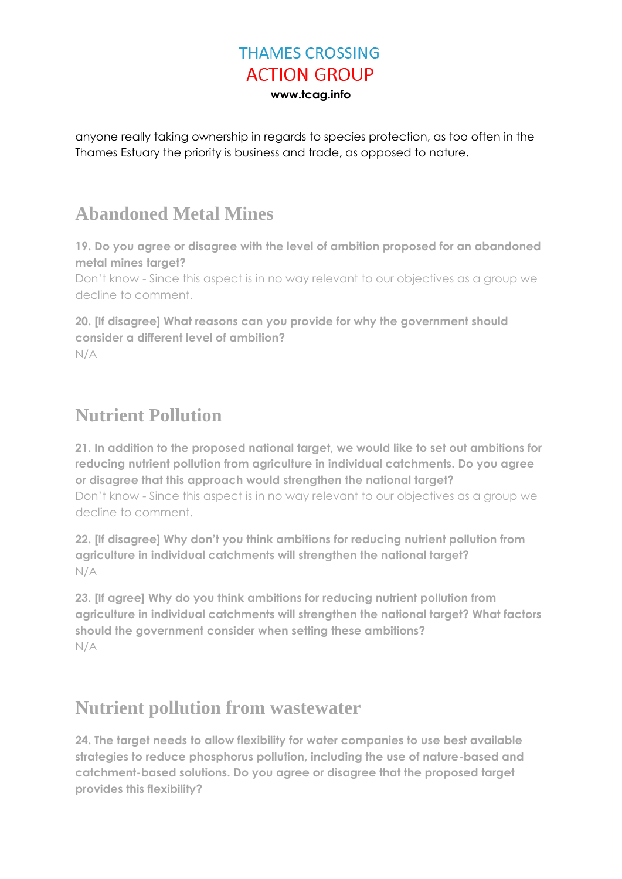anyone really taking ownership in regards to species protection, as too often in the Thames Estuary the priority is business and trade, as opposed to nature.

### **Abandoned Metal Mines**

**19. Do you agree or disagree with the level of ambition proposed for an abandoned metal mines target?**

Don't know - Since this aspect is in no way relevant to our objectives as a group we decline to comment.

**20. [If disagree] What reasons can you provide for why the government should consider a different level of ambition?** N/A

## **Nutrient Pollution**

**21. In addition to the proposed national target, we would like to set out ambitions for reducing nutrient pollution from agriculture in individual catchments. Do you agree or disagree that this approach would strengthen the national target?** Don't know - Since this aspect is in no way relevant to our objectives as a group we decline to comment.

**22. [If disagree] Why don't you think ambitions for reducing nutrient pollution from agriculture in individual catchments will strengthen the national target?** N/A

**23. [If agree] Why do you think ambitions for reducing nutrient pollution from agriculture in individual catchments will strengthen the national target? What factors should the government consider when setting these ambitions?** N/A

### **Nutrient pollution from wastewater**

**24. The target needs to allow flexibility for water companies to use best available strategies to reduce phosphorus pollution, including the use of nature-based and catchment-based solutions. Do you agree or disagree that the proposed target provides this flexibility?**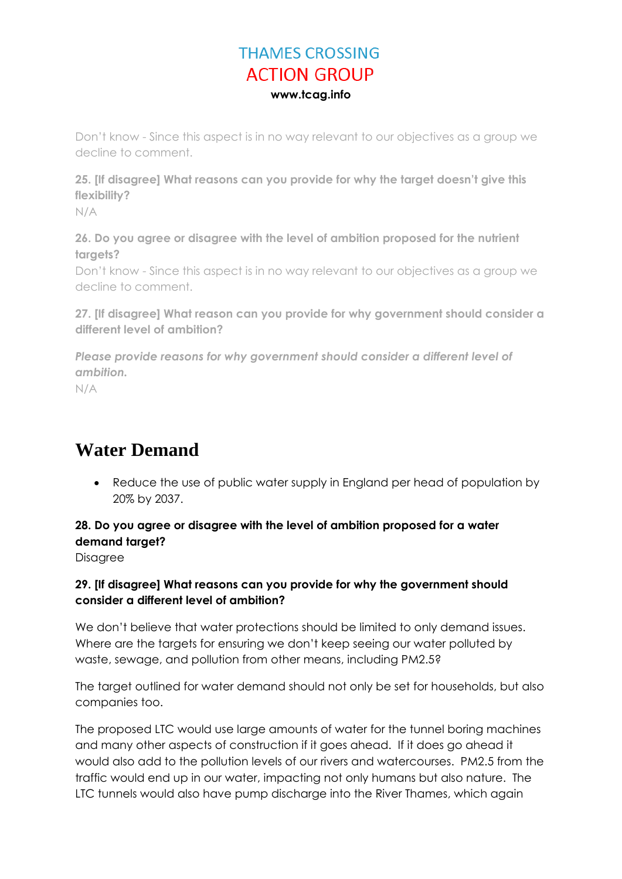Don't know - Since this aspect is in no way relevant to our objectives as a group we decline to comment.

**25. [If disagree] What reasons can you provide for why the target doesn't give this flexibility?**

N/A

**26. Do you agree or disagree with the level of ambition proposed for the nutrient targets?**

Don't know - Since this aspect is in no way relevant to our objectives as a group we decline to comment.

**27. [If disagree] What reason can you provide for why government should consider a different level of ambition?**

*Please provide reasons for why government should consider a different level of ambition.*

N/A

## **Water Demand**

 Reduce the use of public water supply in England per head of population by 20% by 2037.

#### **28. Do you agree or disagree with the level of ambition proposed for a water demand target?**

**Disagree** 

#### **29. [If disagree] What reasons can you provide for why the government should consider a different level of ambition?**

We don't believe that water protections should be limited to only demand issues. Where are the targets for ensuring we don't keep seeing our water polluted by waste, sewage, and pollution from other means, including PM2.5?

The target outlined for water demand should not only be set for households, but also companies too.

The proposed LTC would use large amounts of water for the tunnel boring machines and many other aspects of construction if it goes ahead. If it does go ahead it would also add to the pollution levels of our rivers and watercourses. PM2.5 from the traffic would end up in our water, impacting not only humans but also nature. The LTC tunnels would also have pump discharge into the River Thames, which again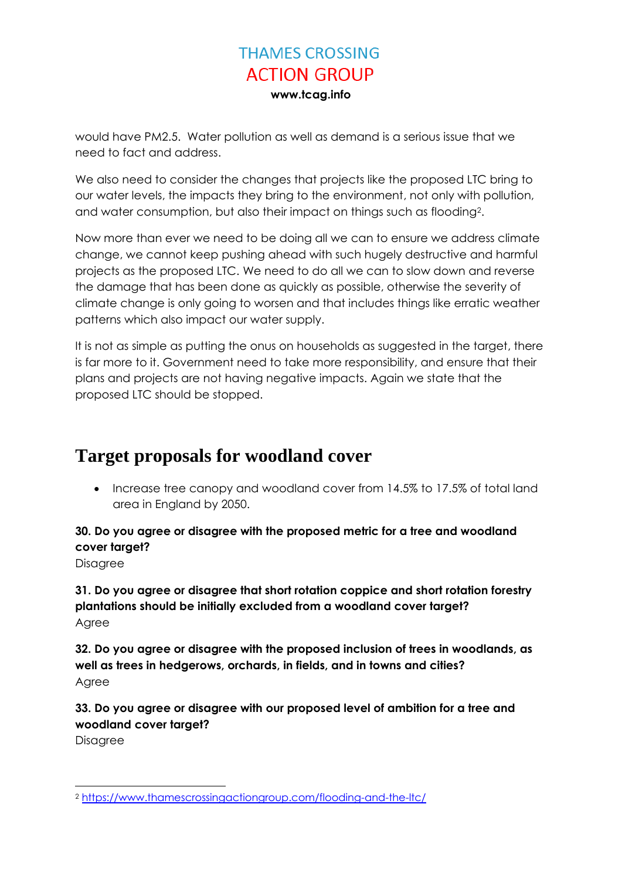would have PM2.5. Water pollution as well as demand is a serious issue that we need to fact and address.

We also need to consider the changes that projects like the proposed LTC bring to our water levels, the impacts they bring to the environment, not only with pollution, and water consumption, but also their impact on things such as flooding<sup>2</sup>.

Now more than ever we need to be doing all we can to ensure we address climate change, we cannot keep pushing ahead with such hugely destructive and harmful projects as the proposed LTC. We need to do all we can to slow down and reverse the damage that has been done as quickly as possible, otherwise the severity of climate change is only going to worsen and that includes things like erratic weather patterns which also impact our water supply.

It is not as simple as putting the onus on households as suggested in the target, there is far more to it. Government need to take more responsibility, and ensure that their plans and projects are not having negative impacts. Again we state that the proposed LTC should be stopped.

### **Target proposals for woodland cover**

• Increase tree canopy and woodland cover from 14.5% to 17.5% of total land area in England by 2050.

#### **30. Do you agree or disagree with the proposed metric for a tree and woodland cover target?**

Disagree

**31. Do you agree or disagree that short rotation coppice and short rotation forestry plantations should be initially excluded from a woodland cover target?** Agree

**32. Do you agree or disagree with the proposed inclusion of trees in woodlands, as well as trees in hedgerows, orchards, in fields, and in towns and cities?** Agree

**33. Do you agree or disagree with our proposed level of ambition for a tree and woodland cover target?**

Disagree

 $\overline{a}$ <sup>2</sup> <https://www.thamescrossingactiongroup.com/flooding-and-the-ltc/>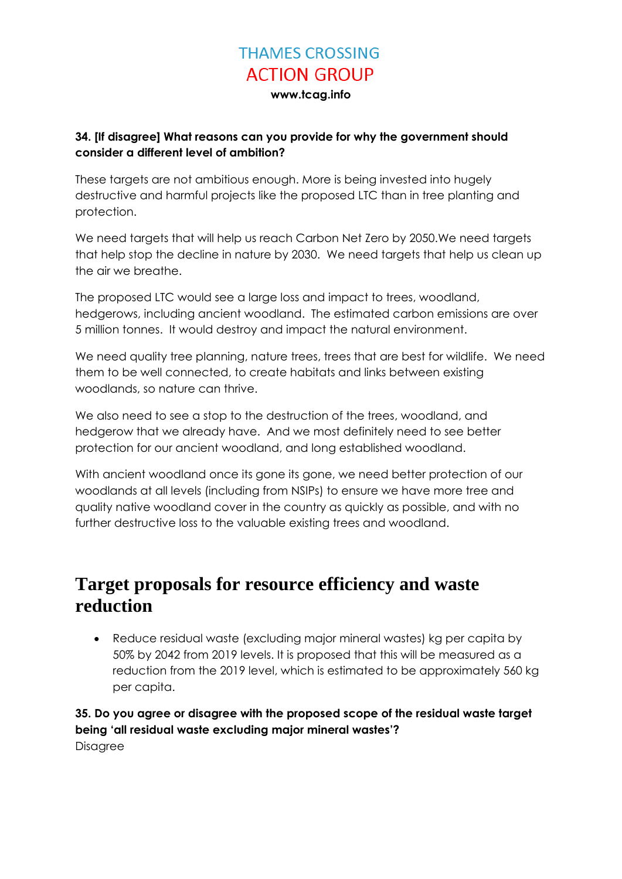**www.tcag.info**

#### **34. [If disagree] What reasons can you provide for why the government should consider a different level of ambition?**

These targets are not ambitious enough. More is being invested into hugely destructive and harmful projects like the proposed LTC than in tree planting and protection.

We need targets that will help us reach Carbon Net Zero by 2050.We need targets that help stop the decline in nature by 2030. We need targets that help us clean up the air we breathe.

The proposed LTC would see a large loss and impact to trees, woodland, hedgerows, including ancient woodland. The estimated carbon emissions are over 5 million tonnes. It would destroy and impact the natural environment.

We need quality tree planning, nature trees, trees that are best for wildlife. We need them to be well connected, to create habitats and links between existing woodlands, so nature can thrive.

We also need to see a stop to the destruction of the trees, woodland, and hedgerow that we already have. And we most definitely need to see better protection for our ancient woodland, and long established woodland.

With ancient woodland once its gone its gone, we need better protection of our woodlands at all levels (including from NSIPs) to ensure we have more tree and quality native woodland cover in the country as quickly as possible, and with no further destructive loss to the valuable existing trees and woodland.

### **Target proposals for resource efficiency and waste reduction**

 Reduce residual waste (excluding major mineral wastes) kg per capita by 50% by 2042 from 2019 levels. It is proposed that this will be measured as a reduction from the 2019 level, which is estimated to be approximately 560 kg per capita.

**35. Do you agree or disagree with the proposed scope of the residual waste target being 'all residual waste excluding major mineral wastes'?** Disagree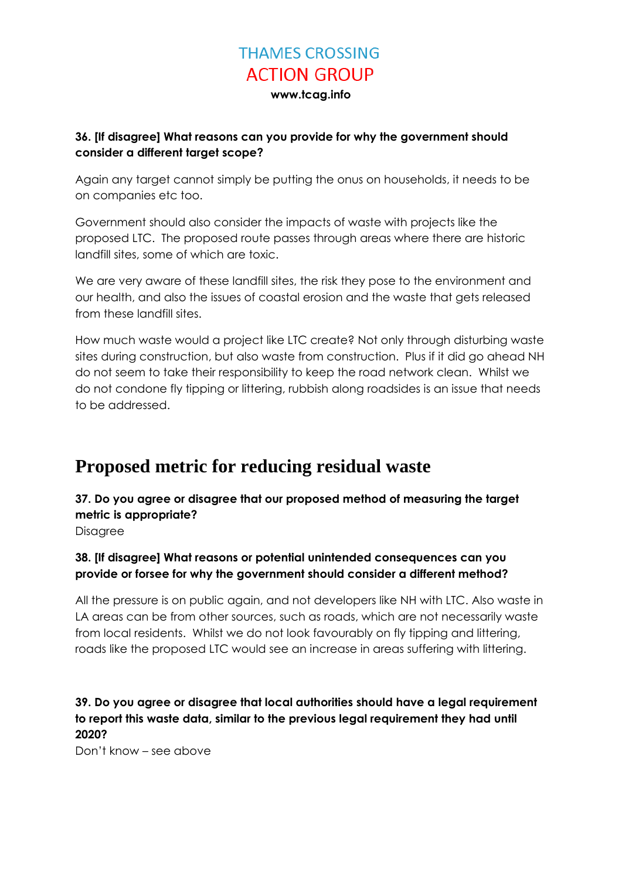#### **36. [If disagree] What reasons can you provide for why the government should consider a different target scope?**

Again any target cannot simply be putting the onus on households, it needs to be on companies etc too.

Government should also consider the impacts of waste with projects like the proposed LTC. The proposed route passes through areas where there are historic landfill sites, some of which are toxic.

We are very aware of these landfill sites, the risk they pose to the environment and our health, and also the issues of coastal erosion and the waste that gets released from these landfill sites.

How much waste would a project like LTC create? Not only through disturbing waste sites during construction, but also waste from construction. Plus if it did go ahead NH do not seem to take their responsibility to keep the road network clean. Whilst we do not condone fly tipping or littering, rubbish along roadsides is an issue that needs to be addressed.

### **Proposed metric for reducing residual waste**

**37. Do you agree or disagree that our proposed method of measuring the target metric is appropriate?**

**Disagree** 

#### **38. [If disagree] What reasons or potential unintended consequences can you provide or forsee for why the government should consider a different method?**

All the pressure is on public again, and not developers like NH with LTC. Also waste in LA areas can be from other sources, such as roads, which are not necessarily waste from local residents. Whilst we do not look favourably on fly tipping and littering, roads like the proposed LTC would see an increase in areas suffering with littering.

#### **39. Do you agree or disagree that local authorities should have a legal requirement to report this waste data, similar to the previous legal requirement they had until 2020?**

Don't know – see above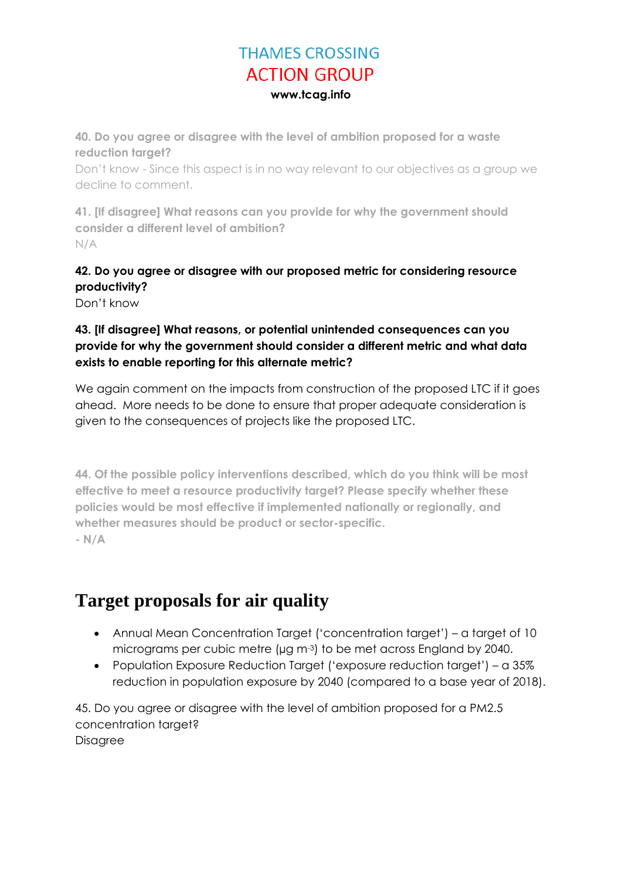**40. Do you agree or disagree with the level of ambition proposed for a waste reduction target?**

Don't know - Since this aspect is in no way relevant to our objectives as a group we decline to comment.

**41. [If disagree] What reasons can you provide for why the government should consider a different level of ambition?** N/A

**42. Do you agree or disagree with our proposed metric for considering resource productivity?**

Don't know

#### **43. [If disagree] What reasons, or potential unintended consequences can you provide for why the government should consider a different metric and what data exists to enable reporting for this alternate metric?**

We again comment on the impacts from construction of the proposed LTC if it goes ahead. More needs to be done to ensure that proper adequate consideration is given to the consequences of projects like the proposed LTC.

**44. Of the possible policy interventions described, which do you think will be most effective to meet a resource productivity target? Please specify whether these policies would be most effective if implemented nationally or regionally, and whether measures should be product or sector-specific. - N/A**

## **Target proposals for air quality**

- Annual Mean Concentration Target ('concentration target') a target of 10 micrograms per cubic metre (µg m-3) to be met across England by 2040.
- Population Exposure Reduction Target ('exposure reduction target') a 35% reduction in population exposure by 2040 (compared to a base year of 2018).

45. Do you agree or disagree with the level of ambition proposed for a PM2.5 concentration target? **Disagree**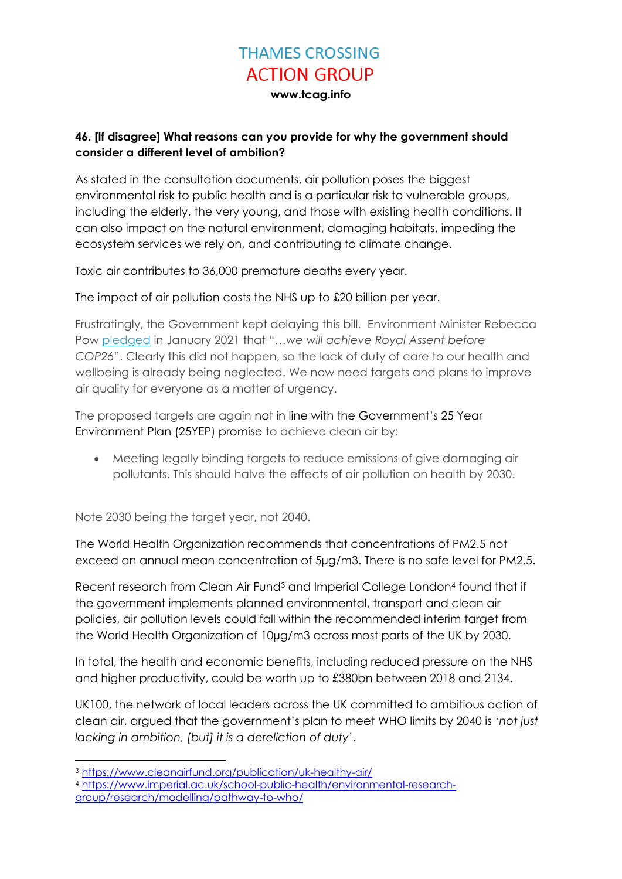**www.tcag.info**

#### **46. [If disagree] What reasons can you provide for why the government should consider a different level of ambition?**

As stated in the consultation documents, air pollution poses the biggest environmental risk to public health and is a particular risk to vulnerable groups, including the elderly, the very young, and those with existing health conditions. It can also impact on the natural environment, damaging habitats, impeding the ecosystem services we rely on, and contributing to climate change.

Toxic air contributes to 36,000 premature deaths every year.

The impact of air pollution costs the NHS up to £20 billion per year.

Frustratingly, the Government kept delaying this bill. Environment Minister Rebecca Pow [pledged](https://hansard.parliament.uk/commons/2021-01-26/debates/20CFA026-8E78-4D84-82E4-B4236D826AA4/EnvironmentBill#contribution-48FC1773-A4C0-4320-A31F-29ED60AB6136) in January 2021 that "*…we will achieve Royal Assent before COP26*". Clearly this did not happen, so the lack of duty of care to our health and wellbeing is already being neglected. We now need targets and plans to improve air quality for everyone as a matter of urgency.

The proposed targets are again not in line with the Government's 25 Year Environment Plan (25YEP) promise to achieve clean air by:

 Meeting legally binding targets to reduce emissions of give damaging air pollutants. This should halve the effects of air pollution on health by 2030.

Note 2030 being the target year, not 2040.

The World Health Organization recommends that concentrations of PM2.5 not exceed an annual mean concentration of 5µg/m3. There is no safe level for PM2.5.

Recent research from Clean Air Fund<sup>3</sup> and Imperial College London<sup>4</sup> found that if the government implements planned environmental, transport and clean air policies, air pollution levels could fall within the recommended interim target from the World Health Organization of 10µg/m3 across most parts of the UK by 2030.

In total, the health and economic benefits, including reduced pressure on the NHS and higher productivity, could be worth up to £380bn between 2018 and 2134.

UK100, the network of local leaders across the UK committed to ambitious action of clean air, argued that the government's plan to meet WHO limits by 2040 is '*not just lacking in ambition, [but] it is a dereliction of duty*'.

 $\overline{a}$ 

<sup>3</sup> <https://www.cleanairfund.org/publication/uk-healthy-air/>

<sup>4</sup> [https://www.imperial.ac.uk/school-public-health/environmental-research](https://www.imperial.ac.uk/school-public-health/environmental-research-group/research/modelling/pathway-to-who/)[group/research/modelling/pathway-to-who/](https://www.imperial.ac.uk/school-public-health/environmental-research-group/research/modelling/pathway-to-who/)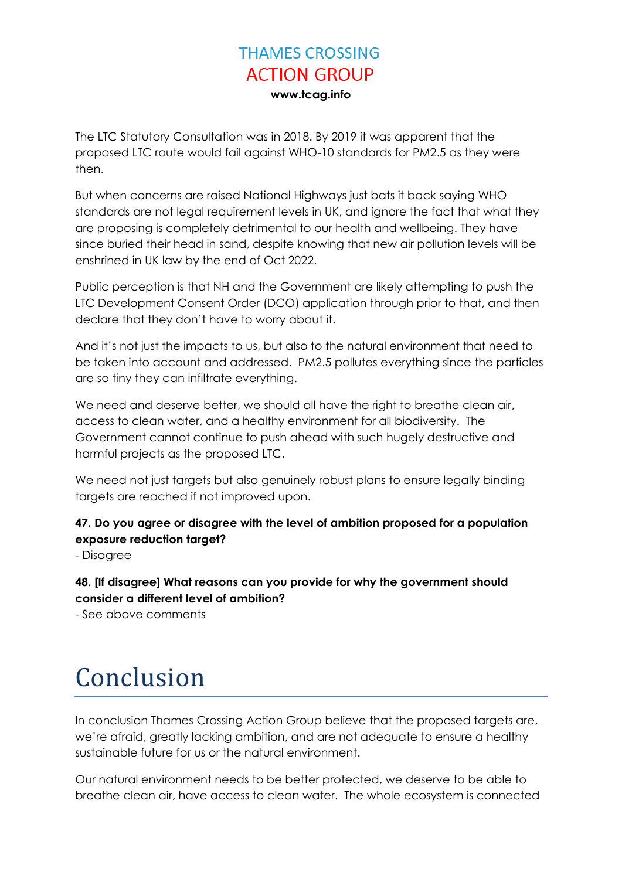The LTC Statutory Consultation was in 2018. By 2019 it was apparent that the proposed LTC route would fail against WHO-10 standards for PM2.5 as they were then.

But when concerns are raised National Highways just bats it back saying WHO standards are not legal requirement levels in UK, and ignore the fact that what they are proposing is completely detrimental to our health and wellbeing. They have since buried their head in sand, despite knowing that new air pollution levels will be enshrined in UK law by the end of Oct 2022.

Public perception is that NH and the Government are likely attempting to push the LTC Development Consent Order (DCO) application through prior to that, and then declare that they don't have to worry about it.

And it's not just the impacts to us, but also to the natural environment that need to be taken into account and addressed. PM2.5 pollutes everything since the particles are so tiny they can infiltrate everything.

We need and deserve better, we should all have the right to breathe clean air, access to clean water, and a healthy environment for all biodiversity. The Government cannot continue to push ahead with such hugely destructive and harmful projects as the proposed LTC.

We need not just targets but also genuinely robust plans to ensure legally binding targets are reached if not improved upon.

#### **47. Do you agree or disagree with the level of ambition proposed for a population exposure reduction target?**

- Disagree

#### **48. [If disagree] What reasons can you provide for why the government should consider a different level of ambition?**

- See above comments

# Conclusion

In conclusion Thames Crossing Action Group believe that the proposed targets are, we're afraid, greatly lacking ambition, and are not adequate to ensure a healthy sustainable future for us or the natural environment.

Our natural environment needs to be better protected, we deserve to be able to breathe clean air, have access to clean water. The whole ecosystem is connected